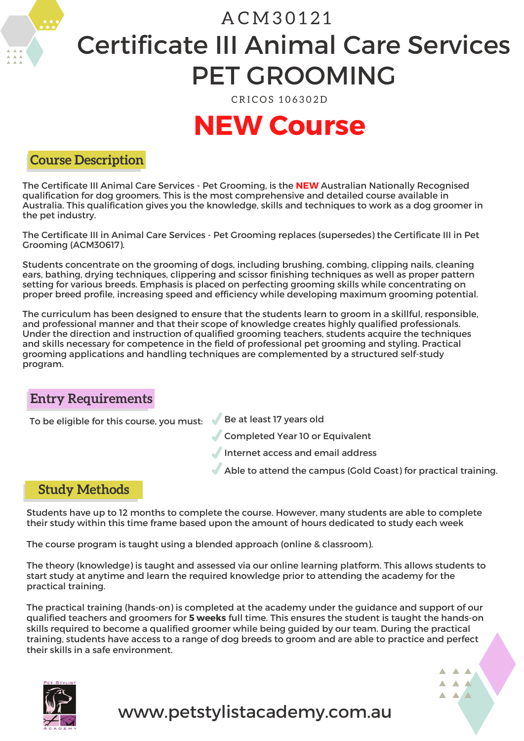# Certificate III Animal Care Services A C M 3 0 1 2 1 PET GROOMING

CRICOS 106302D

# **NEW Course**

#### **Course Description**

The Certificate III Animal Care Services - Pet Grooming, is the **NEW** Australian Nationally Recognised qualification for dog groomers. This is the most comprehensive and detailed course available in Australia. This qualification gives you the knowledge, skills and techniques to work as a dog groomer in the pet industry.

The Certificate III in Animal Care Services - Pet Grooming replaces (supersedes) the Certificate III in Pet Grooming (ACM30617).

Students concentrate on the grooming of dogs, including brushing, combing, clipping nails, cleaning ears, bathing, drying techniques, clippering and scissor finishing techniques as well as proper pattern setting for various breeds. Emphasis is placed on perfecting grooming skills while concentrating on proper breed profile, increasing speed and efficiency while developing maximum grooming potential.

The curriculum has been designed to ensure that the students learn to groom in a skillful, responsible, and professional manner and that their scope of knowledge creates highly qualified professionals. Under the direction and instruction of qualified grooming teachers, students acquire the techniques and skills necessary for competence in the field of professional pet grooming and styling. Practical grooming applications and handling techniques are complemented by a structured self-study program.

### **Entry Requirements**

To be eligible for this course, you must:  $\blacklozenge$  Be at least 17 years old

- 
- Completed Year 10 or Equivalent
- Internet access and email address
- Able to attend the campus (Gold Coast) for practical training.

#### **Study Methods**

Students have up to 12 months to complete the course. However, many students are able to complete their study within this time frame based upon the amount of hours dedicated to study each week

The course program is taught using a blended approach (online & classroom).

The theory (knowledge) is taught and assessed via our online learning platform. This allows students to start study at anytime and learn the required knowledge prior to attending the academy for the practical training.

The practical training (hands-on) is completed at the academy under the guidance and support of our qualified teachers and groomers for **5 weeks** full time. This ensures the student is taught the hands-on skills required to become a qualified groomer while being guided by our team. During the practical training, students have access to a range of dog breeds to groom and are able to practice and perfect their skills in a safe environment.

www.petstylistacademy.com.au



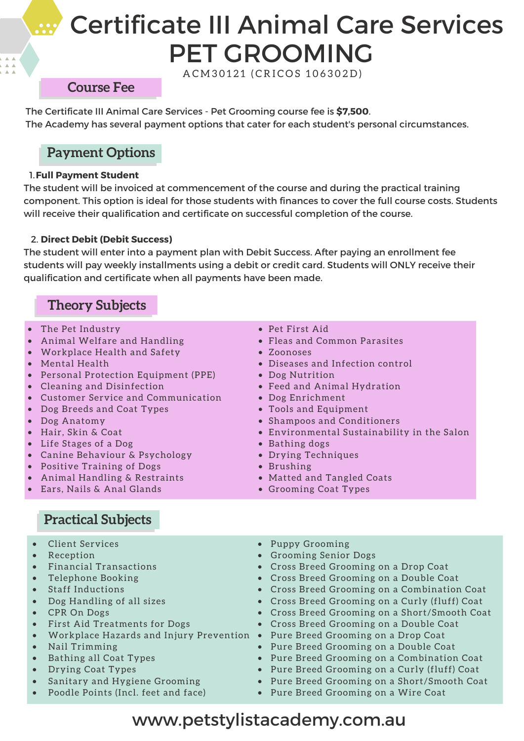# Certificate III Animal Care Services PET GROOMING

A C M 3 0 1 2 1 ( C R I C O S 1 0 6 3 0 2 D )

#### **Course Fee**

The Certificate III Animal Care Services - Pet Grooming course fee is **\$7,500**. The Academy has several payment options that cater for each student's personal circumstances.

### **Payment Options**

#### 1.**Full Payment Student**

The student will be invoiced at commencement of the course and during the practical training component. This option is ideal for those students with finances to cover the full course costs. Students will receive their qualification and certificate on successful completion of the course.

#### 2. **Direct Debit (Debit Success)**

The student will enter into a payment plan with Debit Success. After paying an enrollment fee students will pay weekly installments using a debit or credit card. Students will ONLY receive their qualification and certificate when all payments have been made.

#### **Theory Subjects**

- The Pet Industry
- Animal Welfare and Handling
- Workplace Health and Safety
- Mental Health
- Personal Protection Equipment (PPE)
- Cleaning and Disinfection
- Customer Service and Communication
- Dog Breeds and Coat Types
- Dog Anatomy
- Hair, Skin & Coat
- Life Stages of a Dog
- Canine Behaviour & Psychology
- Positive Training of Dogs
- Animal Handling & Restraints
- Ears, Nails & Anal Glands
- Pet First Aid
- Fleas and Common Parasites
- Zoonoses
- Diseases and Infection control
- Dog Nutrition
- Feed and Animal Hydration
- Dog Enrichment
- Tools and Equipment
- Shampoos and Conditioners
- Environmental Sustainability in the Salon
- Bathing dogs
- Drying Techniques
- Brushing
- Matted and Tangled Coats
- Grooming Coat Types

- **Practical Subjects**
- Client Services
- **Reception**
- Financial Transactions
- Telephone Booking
- Staff Inductions
- Dog Handling of all sizes
- CPR On Dogs
- First Aid Treatments for Dogs
- Workplace Hazards and Injury Prevention Pure Breed Grooming on a Drop Coat
- Nail Trimming
- Bathing all Coat Types
- Drying Coat Types
- Sanitary and Hygiene Grooming
- Poodle Points (Incl. feet and face)
- Puppy Grooming
- Grooming Senior Dogs
- Cross Breed Grooming on a Drop Coat
- Cross Breed Grooming on a Double Coat
- Cross Breed Grooming on a Combination Coat
- Cross Breed Grooming on a Curly (fluff) Coat
- Cross Breed Grooming on a Short/Smooth Coat
- Cross Breed Grooming on a Double Coat
- 
- Pure Breed Grooming on a Double Coat
- Pure Breed Grooming on a Combination Coat
- Pure Breed Grooming on a Curly (fluff) Coat
- Pure Breed Grooming on a Short/Smooth Coat
- Pure Breed Grooming on a Wire Coat

## www.petstylistacademy.com.au